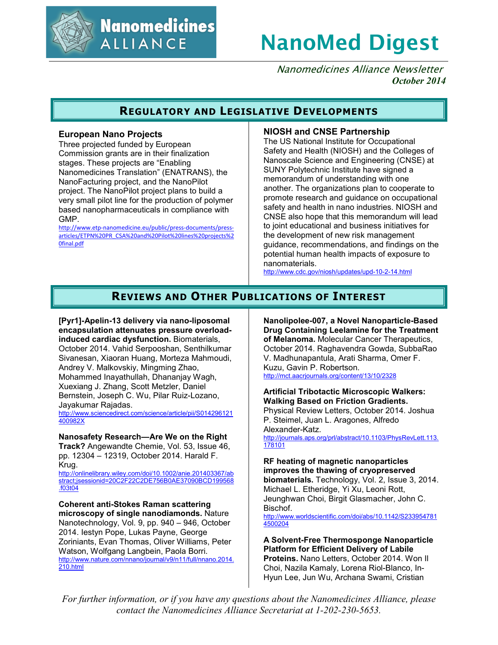

**Nanomedicines ALLIANCE** 

# **NanoMed Digest**

Nanomedicines Alliance Newsletter *October 2014*

# **REGULATORY AND LEGISLATIVE DEVELOPMENTS**

## **European Nano Projects**

Three projected funded by European Commission grants are in their finalization stages. These projects are "Enabling Nanomedicines Translation" (ENATRANS), the NanoFacturing project, and the NanoPilot project. The NanoPilot project plans to build a very small pilot line for the production of polymer based nanopharmaceuticals in compliance with GMP.

http://www.etp-nanomedicine.eu/public/press-documents/pressarticles/ETPN%20PR\_CSA%20and%20Pilot%20lines%20projects%2 0final.pdf

## **NIOSH and CNSE Partnership**

The US National Institute for Occupational Safety and Health (NIOSH) and the Colleges of Nanoscale Science and Engineering (CNSE) at SUNY Polytechnic Institute have signed a memorandum of understanding with one another. The organizations plan to cooperate to promote research and guidance on occupational safety and health in nano industries. NIOSH and CNSE also hope that this memorandum will lead to joint educational and business initiatives for the development of new risk management guidance, recommendations, and findings on the potential human health impacts of exposure to nanomaterials.

http://www.cdc.gov/niosh/updates/upd-10-2-14.html

# **REVIEWS AND OTHER PUBLICATIONS OF INTEREST**

**[Pyr1]-Apelin-13 delivery via nano-liposomal encapsulation attenuates pressure overloadinduced cardiac dysfunction.** Biomaterials, October 2014. Vahid Serpooshan, Senthilkumar Sivanesan, Xiaoran Huang, Morteza Mahmoudi, Andrey V. Malkovskiy, Mingming Zhao, Mohammed Inayathullah, Dhananjay Wagh, Xuexiang J. Zhang, Scott Metzler, Daniel Bernstein, Joseph C. Wu, Pilar Ruiz-Lozano, Jayakumar Rajadas.

http://www.sciencedirect.com/science/article/pii/S014296121 400982X

#### **Nanosafety Research—Are We on the Right**

**Track?** Angewandte Chemie, Vol. 53, Issue 46, pp. 12304 – 12319, October 2014. Harald F. Krug.

http://onlinelibrary.wiley.com/doi/10.1002/anie.201403367/ab stract;jsessionid=20C2F22C2DE756B0AE37090BCD199568 .f03t04

**Coherent anti-Stokes Raman scattering microscopy of single nanodiamonds.** Nature Nanotechnology, Vol. 9, pp. 940 – 946, October 2014. Iestyn Pope, Lukas Payne, George Zoriniants, Evan Thomas, Oliver Williams, Peter Watson, Wolfgang Langbein, Paola Borri. http://www.nature.com/nnano/journal/v9/n11/full/nnano.2014. 210.html

**Nanolipolee-007, a Novel Nanoparticle-Based Drug Containing Leelamine for the Treatment of Melanoma.** Molecular Cancer Therapeutics, October 2014. Raghavendra Gowda, SubbaRao V. Madhunapantula, Arati Sharma, Omer F. Kuzu, Gavin P. Robertson. http://mct.aacrjournals.org/content/13/10/2328

## **Artificial Tribotactic Microscopic Walkers: Walking Based on Friction Gradients.**  Physical Review Letters, October 2014. Joshua

P. Steimel, Juan L. Aragones, Alfredo Alexander-Katz.

http://journals.aps.org/prl/abstract/10.1103/PhysRevLett.113. 178101

#### **RF heating of magnetic nanoparticles improves the thawing of cryopreserved**

**biomaterials.** Technology, Vol. 2, Issue 3, 2014. Michael L. Etheridge, Yi Xu, Leoni Rott, Jeunghwan Choi, Birgit Glasmacher, John C. Bischof.

http://www.worldscientific.com/doi/abs/10.1142/S233954781 4500204

**A Solvent-Free Thermosponge Nanoparticle Platform for Efficient Delivery of Labile Proteins.** Nano Letters, October 2014. Won Il Choi, Nazila Kamaly, Lorena Riol-Blanco, In-Hyun Lee, Jun Wu, Archana Swami, Cristian

*For further information, or if you have any questions about the Nanomedicines Alliance, please contact the Nanomedicines Alliance Secretariat at 1-202-230-5653.*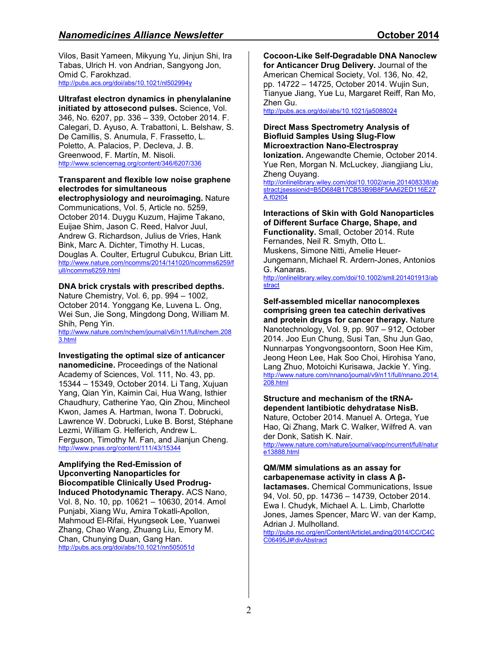# *Nanomedicines Alliance Newsletter*  $\qquad \qquad$  **October 2014**

Vilos, Basit Yameen, Mikyung Yu, Jinjun Shi, Ira Tabas, Ulrich H. von Andrian, Sangyong Jon, Omid C. Farokhzad. http://pubs.acs.org/doi/abs/10.1021/nl502994y

# **Ultrafast electron dynamics in phenylalanine**

**initiated by attosecond pulses.** Science, Vol. 346, No. 6207, pp. 336 – 339, October 2014. F. Calegari, D. Ayuso, A. Trabattoni, L. Belshaw, S. De Camillis, S. Anumula, F. Frassetto, L. Poletto, A. Palacios, P. Decleva, J. B. Greenwood, F. Martín, M. Nisoli. http://www.sciencemag.org/content/346/6207/336

## **Transparent and flexible low noise graphene electrodes for simultaneous**

**electrophysiology and neuroimaging.** Nature Communications, Vol. 5, Article no. 5259, October 2014. Duygu Kuzum, Hajime Takano, Euijae Shim, Jason C. Reed, Halvor Juul, Andrew G. Richardson, Julius de Vries, Hank Bink, Marc A. Dichter, Timothy H. Lucas, Douglas A. Coulter, Ertugrul Cubukcu, Brian Litt. http://www.nature.com/ncomms/2014/141020/ncomms6259/f ull/ncomms6259.html

### **DNA brick crystals with prescribed depths.**

Nature Chemistry, Vol. 6, pp. 994 – 1002, October 2014. Yonggang Ke, Luvena L. Ong, Wei Sun, Jie Song, Mingdong Dong, William M. Shih, Peng Yin.

http://www.nature.com/nchem/journal/v6/n11/full/nchem.208 3.html

#### **Investigating the optimal size of anticancer nanomedicine.** Proceedings of the National

Academy of Sciences, Vol. 111, No. 43, pp. 15344 – 15349, October 2014. Li Tang, Xujuan Yang, Qian Yin, Kaimin Cai, Hua Wang, Isthier Chaudhury, Catherine Yao, Qin Zhou, Mincheol Kwon, James A. Hartman, Iwona T. Dobrucki, Lawrence W. Dobrucki, Luke B. Borst, Stéphane Lezmi, William G. Helferich, Andrew L. Ferguson, Timothy M. Fan, and Jianjun Cheng. http://www.pnas.org/content/111/43/15344

**Amplifying the Red-Emission of Upconverting Nanoparticles for Biocompatible Clinically Used Prodrug-Induced Photodynamic Therapy.** ACS Nano, Vol. 8, No. 10, pp. 10621 – 10630, 2014. Amol Punjabi, Xiang Wu, Amira Tokatli-Apollon, Mahmoud El-Rifai, Hyungseok Lee, Yuanwei Zhang, Chao Wang, Zhuang Liu, Emory M. Chan, Chunying Duan, Gang Han. http://pubs.acs.org/doi/abs/10.1021/nn505051d

**Cocoon-Like Self-Degradable DNA Nanoclew for Anticancer Drug Delivery.** Journal of the American Chemical Society, Vol. 136, No. 42, pp. 14722 – 14725, October 2014. Wujin Sun, Tianyue Jiang, Yue Lu, Margaret Reiff, Ran Mo, Zhen Gu.

http://pubs.acs.org/doi/abs/10.1021/ja5088024

## **Direct Mass Spectrometry Analysis of Biofluid Samples Using Slug-Flow Microextraction Nano-Electrospray**

**Ionization.** Angewandte Chemie, October 2014. Yue Ren, Morgan N. McLuckey, Jiangjiang Liu, Zheng Ouyang.

http://onlinelibrary.wiley.com/doi/10.1002/anie.201408338/ab stract;jsessionid=B5D684B17CB53B9B8F5AA62ED116E27 A.f02t04

#### **Interactions of Skin with Gold Nanoparticles of Different Surface Charge, Shape, and**

**Functionality.** Small, October 2014. Rute Fernandes, Neil R. Smyth, Otto L. Muskens, Simone Nitti, Amelie Heuer-Jungemann, Michael R. Ardern-Jones, Antonios G. Kanaras.

http://onlinelibrary.wiley.com/doi/10.1002/smll.201401913/ab stract

## **Self-assembled micellar nanocomplexes comprising green tea catechin derivatives and protein drugs for cancer therapy.** Nature Nanotechnology, Vol. 9, pp. 907 – 912, October

2014. Joo Eun Chung, Susi Tan, Shu Jun Gao, Nunnarpas Yongvongsoontorn, Soon Hee Kim, Jeong Heon Lee, Hak Soo Choi, Hirohisa Yano, Lang Zhuo, Motoichi Kurisawa, Jackie Y. Ying. http://www.nature.com/nnano/journal/v9/n11/full/nnano.2014. 208.html

#### **Structure and mechanism of the tRNAdependent lantibiotic dehydratase NisB.**

Nature, October 2014. Manuel A. Ortega, Yue Hao, Qi Zhang, Mark C. Walker, Wilfred A. van der Donk, Satish K. Nair.

http://www.nature.com/nature/journal/vaop/ncurrent/full/natur e13888.html

#### **QM/MM simulations as an assay for carbapenemase activity in class A β-**

**lactamases.** Chemical Communications, Issue 94, Vol. 50, pp. 14736 – 14739, October 2014. Ewa I. Chudyk, Michael A. L. Limb, Charlotte Jones, James Spencer, Marc W. van der Kamp, Adrian J. Mulholland.

http://pubs.rsc.org/en/Content/ArticleLanding/2014/CC/C4C C06495J#!divAbstract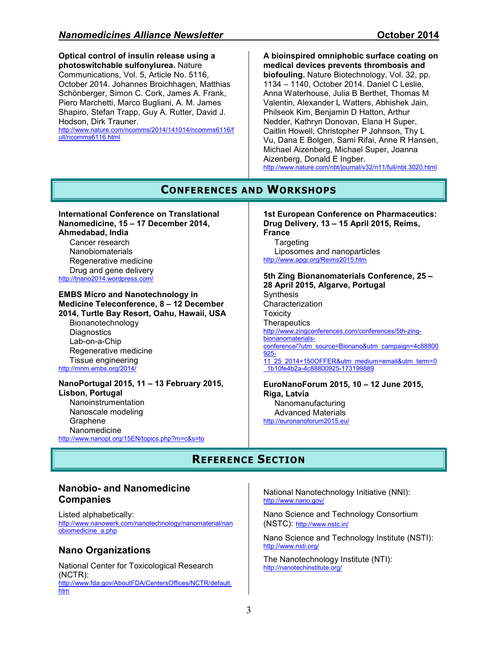**Optical control of insulin release using a photoswitchable sulfonylurea.** Nature Communications, Vol. 5, Article No. 5116, October 2014. Johannes Broichhagen, Matthias Schönberger, Simon C. Cork, James A. Frank, Piero Marchetti, Marco Bugliani, A. M. James Shapiro, Stefan Trapp, Guy A. Rutter, David J. Hodson, Dirk Trauner. http://www.nature.com/ncomms/2014/141014/ncomms6116/f ull/ncomms6116.html

**A bioinspired omniphobic surface coating on medical devices prevents thrombosis and biofouling.** Nature Biotechnology, Vol. 32, pp. 1134 – 1140, October 2014. Daniel C Leslie, Anna Waterhouse, Julia B Berthet, Thomas M Valentin, Alexander L Watters, Abhishek Jain, Philseok Kim, Benjamin D Hatton, Arthur Nedder, Kathryn Donovan, Elana H Super, Caitlin Howell, Christopher P Johnson, Thy L Vu, Dana E Bolgen, Sami Rifai, Anne R Hansen, Michael Aizenberg, Michael Super, Joanna Aizenberg, Donald E Ingber. http://www.nature.com/nbt/journal/v32/n11/full/nbt.3020.html

# **CONFERENCES AND WORKSHOPS**

**International Conference on Translational Nanomedicine, 15 – 17 December 2014, Ahmedabad, India**  Cancer research Nanobiomaterials Regenerative medicine Drug and gene delivery http://tnano2014.wordpress.com/

**EMBS Micro and Nanotechnology in Medicine Teleconference, 8 – 12 December 2014, Turtle Bay Resort, Oahu, Hawaii, USA**  Bionanotechnology **Diagnostics** Lab-on-a-Chip Regenerative medicine Tissue engineering

http://mnm.embs.org/2014/

#### **NanoPortugal 2015, 11 – 13 February 2015, Lisbon, Portugal**  Nanoinstrumentation Nanoscale modeling Graphene Nanomedicine http://www.nanopt.org/15EN/topics.php?m=c&s=to

#### **1st European Conference on Pharmaceutics: Drug Delivery, 13 – 15 April 2015, Reims, France Targeting**

Liposomes and nanoparticles http://www.apgi.org/Reims2015.htm

#### **5th Zing Bionanomaterials Conference, 25 – 28 April 2015, Algarve, Portugal Synthesis Characterization Toxicity Therapeutics** http://www.zingconferences.com/conferences/5th-zingbionanomaterialsconference/?utm\_source=Bionano&utm\_campaign=4c88800 925- 11\_25\_2014+150OFFER&utm\_medium=email&utm\_term=0 \_1b10fe4b2a-4c88800925-173199889

**EuroNanoForum 2015, 10 – 12 June 2015, Riga, Latvia**  Nanomanufacturing Advanced Materials http://euronanoforum2015.eu/

# **REFERENCE SECTION**

# **Nanobio- and Nanomedicine Companies**

Listed alphabetically: http://www.nanowerk.com/nanotechnology/nanomaterial/nan obiomedicine\_a.php

# **Nano Organizations**

National Center for Toxicological Research (NCTR): http://www.fda.gov/AboutFDA/CentersOffices/NCTR/default. htm

National Nanotechnology Initiative (NNI): http://www.nano.gov/

Nano Science and Technology Consortium (NSTC): http://www.nstc.in/

Nano Science and Technology Institute (NSTI): http://www.nsti.org/

The Nanotechnology Institute (NTI): http://nanotechinstitute.org/